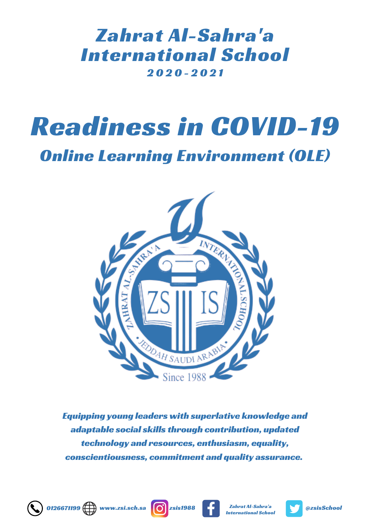### 2 0 2 0 - 2 0 2 1 Zahrat Al-Sahra'a International School

# Readiness in COVID-19

Online Learning Environment (OLE)



Equipping young leaders with superlative knowledge and adaptable social skills through contribution, updated technology and resources, enthusiasm, equality, conscientiousness, commitment and quality assurance.







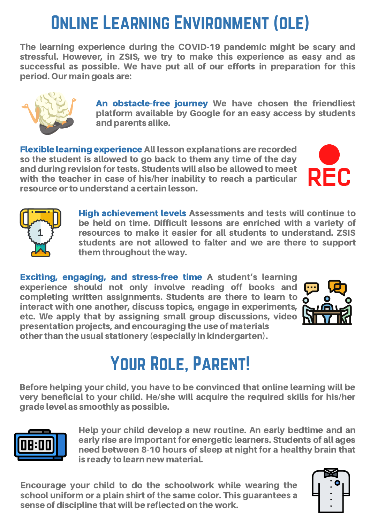# Online Learning Environment (ole)

The learning experience during the COVID-19 pandemic might be scary and stressful. However, in ZSIS, we try to make this experience as easy and as successful as possible. We have put all of our efforts in preparation for this period. Our main goals are:



An obstacle-free journey We have chosen the friendliest platform available by Google for an easy access by students and parents alike.

Flexible learning experience All lesson explanations are recorded so the student is allowed to go back to them any time of the day and during revision for tests. Students will also be allowed to meet with the teacher in case of his/her inability to reach a particular resource or to understand a certain lesson.





High achievement levels Assessments and tests will continue to be held on time. Difficult lessons are enriched with a variety of resources to make it easier for all students to understand. ZSIS students are not allowed to falter and we are there to support them throughout the way.

Exciting, engaging, and stress-free time A student's learning experience should not only involve reading off books and completing written assignments. Students are there to learn to  $\delta$ interact with one another, discuss topics, engage in experiments, etc. We apply that by assigning small group discussions, video presentation projects, and encouraging the use of materials other than the usual stationery (especially in kindergarten).



# YOUR ROLE, PARENT!

Before helping your child, you have to be convinced that online learning will be very beneficial to your child. He/she will acquire the required skills for his/her grade level as smoothly as possible.



Help your child develop a new routine. An early bedtime and an early rise are important for energetic learners. Students of all ages need between 8-10 hours of sleep at night for a healthy brain that is ready to learn new material.

Encourage your child to do the schoolwork while wearing the school uniform or a plain shirt of the same color. This guarantees a sense of discipline that will be reflected on the work.

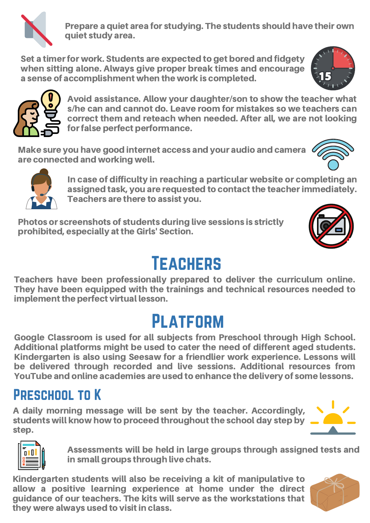

Prepare a quiet area for studying. The students should have their own quiet study area.

Set a timer for work. Students are expected to get bored and fidgety when sitting alone. Always give proper break times and encourage a sense of accomplishment when the work is completed.





Avoid assistance. Allow your daughter/son to show the teacher what s/he can and cannot do. Leave room for mistakes so we teachers can correct them and reteach when needed. After all, we are not looking for false perfect performance.

Make sure you have good internet access and your audio and camera are connected and working well.





In case of difficulty in reaching a particular website or completing an assigned task, you are requested to contact the teacherimmediately. Teachers are there to assist you.

Photos or screenshots of students during live sessions is strictly prohibited, especially atthe Girls' Section.



# Teachers

Teachers have been professionally prepared to deliver the curriculum online. They have been equipped with the trainings and technical resources needed to implement the perfect virtual lesson.

# **PLATFORM**

Google Classroom is used for all subjects from Preschool through High School. Additional platforms might be used to cater the need of different aged students. Kindergarten is also using Seesaw for a friendlier work experience. Lessons will be delivered through recorded and live sessions. Additional resources from YouTube and online academies are used to enhance the delivery of some lessons.

#### Preschool to K

A daily morning message will be sent by the teacher. Accordingly, students will know how to proceed throughout the school day step by step.



Assessments will be held in large groups through assigned tests and in small groups through live chats.

Kindergarten students will also be receiving a kit of manipulative to allow a positive learning experience at home under the direct guidance of our teachers. The kits will serve as the workstations that they were always used to visit in class.

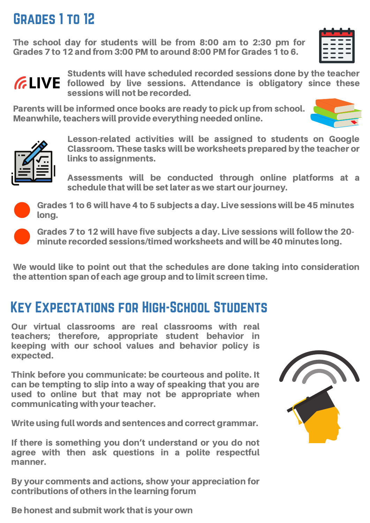#### Grades 1 to 12

The school day for students will be from 8:00 am to 2:30 pm for Grades 7 to 12 and from 3:00 PM to around 8:00 PM for Grades 1 to 6.

|   | n and |     | . . |
|---|-------|-----|-----|
|   |       | - - |     |
|   |       | --  | -   |
|   | ---   |     |     |
| _ | -     | -   | _   |
|   | -     |     |     |
|   |       |     |     |



Students will have scheduled recorded sessions done by the teacher *GLIVE* followed by live sessions. Attendance is obligatory since these sessions will not be recorded.

Parents will be informed once books are ready to pick up from school. Meanwhile, teachers will provide everything needed online.





Lesson-related activities will be assigned to students on Google Classroom. These tasks will be worksheets prepared by the teacher or links to assignments.

Assessments will be conducted through online platforms at a schedule that will be set later as we start our journey.



Grades 1 to 6 will have 4 to 5 subjects a day. Live sessions will be 45 minutes long.



Grades 7 to 12 will have five subjects a day. Live sessions will follow the 20 minute recorded sessions/timed worksheets and will be 40 minutes long.

We would like to point out that the schedules are done taking into consideration the attention span of each age group and to limit screen time.

#### Key Expectations for High-School Students

Our virtual classrooms are real classrooms with real teachers; therefore, appropriate student behavior in keeping with our school values and behavior policy is expected.

Think before you communicate: be courteous and polite. It can be tempting to slip into a way of speaking that you are used to online but that may not be appropriate when communicating with your teacher.

Write using full words and sentences and correct grammar.

If there is something you don't understand or you do not agree with then ask questions in a polite respectful manner.

By your comments and actions, show your appreciation for contributions of others in the learning forum



Be honest and submit work that is your own